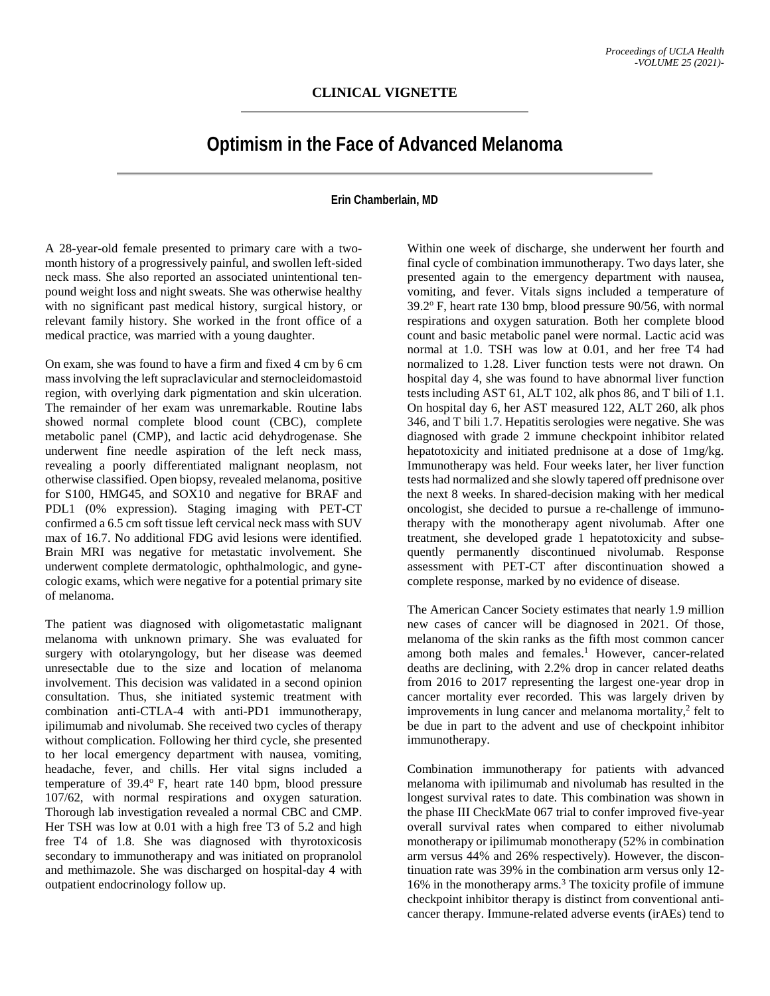## **Optimism in the Face of Advanced Melanoma**

## **Erin Chamberlain, MD**

A 28-year-old female presented to primary care with a twomonth history of a progressively painful, and swollen left-sided neck mass. She also reported an associated unintentional tenpound weight loss and night sweats. She was otherwise healthy with no significant past medical history, surgical history, or relevant family history. She worked in the front office of a medical practice, was married with a young daughter.

On exam, she was found to have a firm and fixed 4 cm by 6 cm mass involving the left supraclavicular and sternocleidomastoid region, with overlying dark pigmentation and skin ulceration. The remainder of her exam was unremarkable. Routine labs showed normal complete blood count (CBC), complete metabolic panel (CMP), and lactic acid dehydrogenase. She underwent fine needle aspiration of the left neck mass, revealing a poorly differentiated malignant neoplasm, not otherwise classified. Open biopsy, revealed melanoma, positive for S100, HMG45, and SOX10 and negative for BRAF and PDL1 (0% expression). Staging imaging with PET-CT confirmed a 6.5 cm soft tissue left cervical neck mass with SUV max of 16.7. No additional FDG avid lesions were identified. Brain MRI was negative for metastatic involvement. She underwent complete dermatologic, ophthalmologic, and gynecologic exams, which were negative for a potential primary site of melanoma.

The patient was diagnosed with oligometastatic malignant melanoma with unknown primary. She was evaluated for surgery with otolaryngology, but her disease was deemed unresectable due to the size and location of melanoma involvement. This decision was validated in a second opinion consultation. Thus, she initiated systemic treatment with combination anti-CTLA-4 with anti-PD1 immunotherapy, ipilimumab and nivolumab. She received two cycles of therapy without complication. Following her third cycle, she presented to her local emergency department with nausea, vomiting, headache, fever, and chills. Her vital signs included a temperature of  $39.4^{\circ}$  F, heart rate 140 bpm, blood pressure 107/62, with normal respirations and oxygen saturation. Thorough lab investigation revealed a normal CBC and CMP. Her TSH was low at 0.01 with a high free T3 of 5.2 and high free T4 of 1.8. She was diagnosed with thyrotoxicosis secondary to immunotherapy and was initiated on propranolol and methimazole. She was discharged on hospital-day 4 with outpatient endocrinology follow up.

Within one week of discharge, she underwent her fourth and final cycle of combination immunotherapy. Two days later, she presented again to the emergency department with nausea, vomiting, and fever. Vitals signs included a temperature of  $39.2^{\circ}$  F, heart rate 130 bmp, blood pressure 90/56, with normal respirations and oxygen saturation. Both her complete blood count and basic metabolic panel were normal. Lactic acid was normal at 1.0. TSH was low at 0.01, and her free T4 had normalized to 1.28. Liver function tests were not drawn. On hospital day 4, she was found to have abnormal liver function tests including AST 61, ALT 102, alk phos 86, and T bili of 1.1. On hospital day 6, her AST measured 122, ALT 260, alk phos 346, and T bili 1.7. Hepatitis serologies were negative. She was diagnosed with grade 2 immune checkpoint inhibitor related hepatotoxicity and initiated prednisone at a dose of 1mg/kg. Immunotherapy was held. Four weeks later, her liver function tests had normalized and she slowly tapered off prednisone over the next 8 weeks. In shared-decision making with her medical oncologist, she decided to pursue a re-challenge of immunotherapy with the monotherapy agent nivolumab. After one treatment, she developed grade 1 hepatotoxicity and subsequently permanently discontinued nivolumab. Response assessment with PET-CT after discontinuation showed a complete response, marked by no evidence of disease.

The American Cancer Society estimates that nearly 1.9 million new cases of cancer will be diagnosed in 2021. Of those, melanoma of the skin ranks as the fifth most common cancer among both males and females.<sup>1</sup> However, cancer-related deaths are declining, with 2.2% drop in cancer related deaths from 2016 to 2017 representing the largest one-year drop in cancer mortality ever recorded. This was largely driven by improvements in lung cancer and melanoma mortality, $2$  felt to be due in part to the advent and use of checkpoint inhibitor immunotherapy.

Combination immunotherapy for patients with advanced melanoma with ipilimumab and nivolumab has resulted in the longest survival rates to date. This combination was shown in the phase III CheckMate 067 trial to confer improved five-year overall survival rates when compared to either nivolumab monotherapy or ipilimumab monotherapy (52% in combination arm versus 44% and 26% respectively). However, the discontinuation rate was 39% in the combination arm versus only 12- 16% in the monotherapy arms.<sup>3</sup> The toxicity profile of immune checkpoint inhibitor therapy is distinct from conventional anticancer therapy. Immune-related adverse events (irAEs) tend to